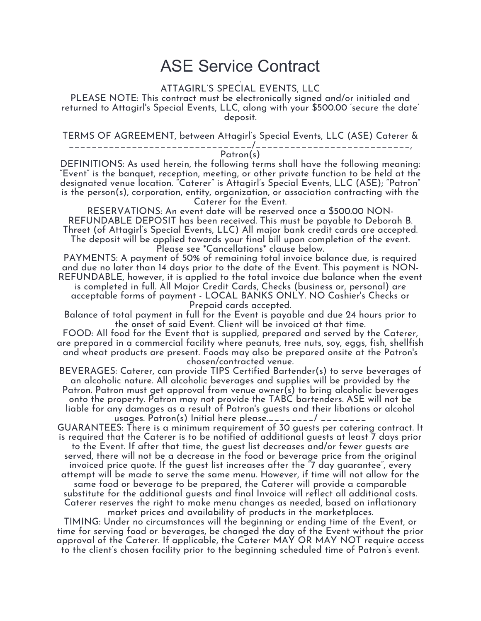## ASE Service Contract

ATTAGIRL'S SPECIAL EVENTS, LLC

PLEASE NOTE: This contract must be electronically signed and/or initialed and returned to Attagirl's Special Events, LLC, along with your \$500.00 'secure the date' deposit.

TERMS OF AGREEMENT, between Attagirl's Special Events, LLC (ASE) Caterer &

\_\_\_\_\_\_\_\_\_\_\_\_\_\_\_\_\_\_\_\_\_\_\_\_\_\_\_\_\_\_\_\_/\_\_\_\_\_\_\_\_\_\_\_\_\_\_\_\_\_\_\_\_\_\_\_\_\_\_\_,

Patron(s)

DEFINITIONS: As used herein, the following terms shall have the following meaning: "Event" is the banquet, reception, meeting, or other private function to be held at the designated venue location. "Caterer" is Attagirl's Special Events, LLC (ASE); "Patron" is the person(s), corporation, entity, organization, or association contracting with the Caterer for the Event.

RESERVATIONS: An event date will be reserved once a \$500.00 NON-REFUNDABLE DEPOSIT has been received. This must be payable to Deborah B. Threet (of Attagirl's Special Events, LLC) All major bank credit cards are accepted. The deposit will be applied towards your final bill upon completion of the event. Please see \*Cancellations\* clause below.

PAYMENTS: A payment of 50% of remaining total invoice balance due, is required and due no later than 14 days prior to the date of the Event. This payment is NON-REFUNDABLE, however, it is applied to the total invoice due balance when the event is completed in full. All Major Credit Cards, Checks (business or, personal) are acceptable forms of payment - LOCAL BANKS ONLY. NO Cashier's Checks or Prepaid cards accepted.

Balance of total payment in full for the Event is payable and due 24 hours prior to the onset of said Event. Client will be invoiced at that time.

FOOD: All food for the Event that is supplied, prepared and served by the Caterer, are prepared in a commercial facility where peanuts, tree nuts, soy, eggs, fish, shellfish and wheat products are present. Foods may also be prepared onsite at the Patron's chosen/contracted venue.

BEVERAGES: Caterer, can provide TIPS Certified Bartender(s) to serve beverages of an alcoholic nature. All alcoholic beverages and supplies will be provided by the Patron. Patron must get approval from venue owner(s) to bring alcoholic beverages onto the property. Patron may not provide the TABC bartenders. ASE will not be liable for any damages as a result of Patron's guests and their libations or alcohol usages. Patron(s) Initial here please.\_\_\_\_\_\_\_\_/ \_\_\_\_\_\_\_\_

GUARANTEES: There is a minimum requirement of 30 guests per catering contract. It is required that the Caterer is to be notified of additional guests at least 7 days prior to the Event. If after that time, the guest list decreases and/or fewer guests are served, there will not be a decrease in the food or beverage price from the original invoiced price quote. If the guest list increases after the "7 day guarantee", every attempt will be made to serve the same menu. However, if time will not allow for the same food or beverage to be prepared, the Caterer will provide a comparable substitute for the additional guests and final Invoice will reflect all additional costs. Caterer reserves the right to make menu changes as needed, based on inflationary market prices and availability of products in the marketplaces.

TIMING: Under no circumstances will the beginning or ending time of the Event, or time for serving food or beverages, be changed the day of the Event without the prior approval of the Caterer. If applicable, the Caterer MAY OR MAY NOT require access to the client's chosen facility prior to the beginning scheduled time of Patron's event.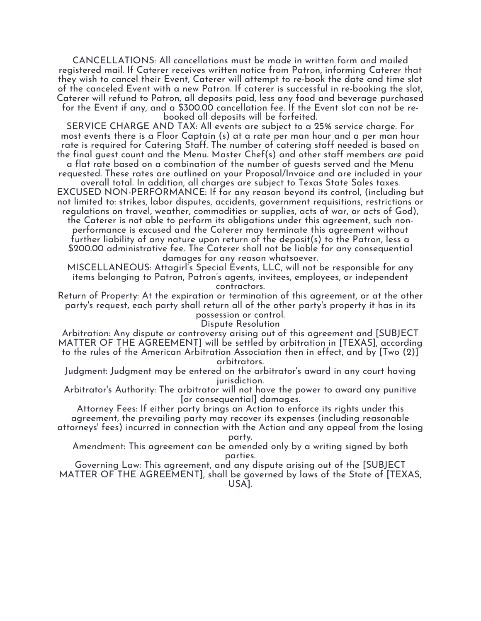CANCELLATIONS: All cancellations must be made in written form and mailed registered mail. If Caterer receives written notice from Patron, informing Caterer that they wish to cancel their Event, Caterer will attempt to re-book the date and time slot of the canceled Event with a new Patron. If caterer is successful in re-booking the slot, Caterer will refund to Patron, all deposits paid, less any food and beverage purchased for the Event if any, and a \$300.00 cancellation fee. If the Event slot can not be rebooked all deposits will be forfeited.

SERVICE CHARGE AND TAX: All events are subject to a 25% service charge. For most events there is a Floor Captain (s) at a rate per man hour and a per man hour rate is required for Catering Staff. The number of catering staff needed is based on the final guest count and the Menu. Master Chef(s) and other staff members are paid

a flat rate based on a combination of the number of guests served and the Menu requested. These rates are outlined on your Proposal/Invoice and are included in your

overall total. In addition, all charges are subject to Texas State Sales taxes. EXCUSED NON-PERFORMANCE: If for any reason beyond its control, (including but not limited to: strikes, labor disputes, accidents, government requisitions, restrictions or regulations on travel, weather, commodities or supplies, acts of war, or acts of God),

the Caterer is not able to perform its obligations under this agreement, such nonperformance is excused and the Caterer may terminate this agreement without further liability of any nature upon return of the deposit(s) to the Patron, less a \$200.00 administrative fee. The Caterer shall not be liable for any consequential damages for any reason whatsoever.

MISCELLANEOUS: Attagirl's Special Events, LLC, will not be responsible for any items belonging to Patron, Patron's agents, invitees, employees, or independent contractors.

Return of Property: At the expiration or termination of this agreement, or at the other party's request, each party shall return all of the other party's property it has in its possession or control.

Dispute Resolution

Arbitration: Any dispute or controversy arising out of this agreement and [SUBJECT MATTER OF THE AGREEMENT] will be settled by arbitration in [TEXAS], according to the rules of the American Arbitration Association then in effect, and by [Two (2)] arbitrators.

Judgment: Judgment may be entered on the arbitrator's award in any court having jurisdiction.

Arbitrator's Authority: The arbitrator will not have the power to award any punitive [or consequential] damages.

Attorney Fees: If either party brings an Action to enforce its rights under this agreement, the prevailing party may recover its expenses (including reasonable attorneys' fees) incurred in connection with the Action and any appeal from the losing

party.

Amendment: This agreement can be amended only by a writing signed by both parties.

Governing Law: This agreement, and any dispute arising out of the [SUBJECT MATTER OF THE AGREEMENT], shall be governed by laws of the State of [TEXAS, USA].